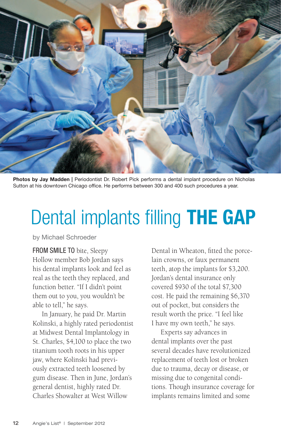

Photos by Jay Madden | Periodontist Dr. Robert Pick performs a dental implant procedure on Nicholas Sutton at his downtown Chicago office. He performs between 300 and 400 such procedures a year.

## Dental implants filling **THE GAP**

by Michael Schroeder

FROM SMILE TO bite, Sleepy Hollow member Bob Jordan says his dental implants look and feel as real as the teeth they replaced, and function better. "If I didn't point them out to you, you wouldn't be able to tell," he says.

In January, he paid Dr. Martin Kolinski, a highly rated periodontist at Midwest Dental Implantology in St. Charles, \$4,100 to place the two titanium tooth roots in his upper jaw, where Kolinski had previously extracted teeth loosened by gum disease. Then in June, Jordan's general dentist, highly rated Dr. Charles Showalter at West Willow

Dental in Wheaton, fitted the porcelain crowns, or faux permanent teeth, atop the implants for \$3,200. Jordan's dental insurance only covered \$930 of the total \$7,300 cost. He paid the remaining \$6,370 out of pocket, but considers the result worth the price. "I feel like I have my own teeth," he says.

Experts say advances in dental implants over the past several decades have revolutionized replacement of teeth lost or broken due to trauma, decay or disease, or missing due to congenital conditions. Though insurance coverage for implants remains limited and some